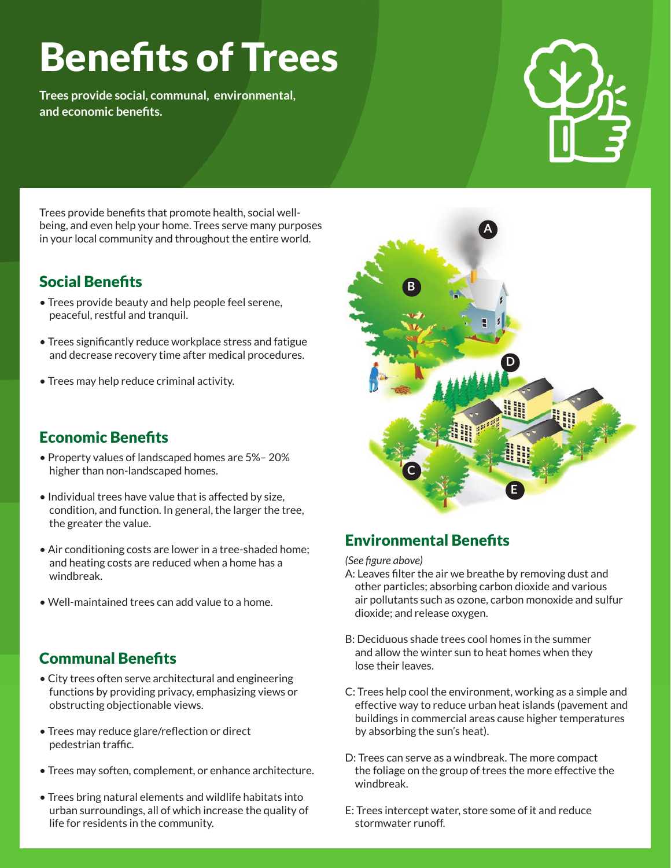# Benefits of Trees

**Trees provide social, communal, environmental, and economic benefits.**



Trees provide benefits that promote health, social wellbeing, and even help your home. Trees serve many purposes in your local community and throughout the entire world.

# Social Benefits

- Trees provide beauty and help people feel serene, peaceful, restful and tranquil.
- Trees significantly reduce workplace stress and fatigue and decrease recovery time after medical procedures.
- Trees may help reduce criminal activity.

### Economic Benefits

- Property values of landscaped homes are 5%– 20% higher than non-landscaped homes.
- Individual trees have value that is affected by size, condition, and function. In general, the larger the tree, the greater the value.
- Air conditioning costs are lower in a tree-shaded home; and heating costs are reduced when a home has a windbreak.
- Well-maintained trees can add value to a home.

## Communal Benefits

- City trees often serve architectural and engineering functions by providing privacy, emphasizing views or obstructing objectionable views.
- Trees may reduce glare/reflection or direct pedestrian traffic.
- Trees may soften, complement, or enhance architecture.
- Trees bring natural elements and wildlife habitats into urban surroundings, all of which increase the quality of life for residents in the community.



# Environmental Benefits

*(See figure above)*

- A: Leaves filter the air we breathe by removing dust and other particles; absorbing carbon dioxide and various air pollutants such as ozone, carbon monoxide and sulfur dioxide; and release oxygen.
- B: Deciduous shade trees cool homes in the summer and allow the winter sun to heat homes when they lose their leaves.
- C: Trees help cool the environment, working as a simple and effective way to reduce urban heat islands (pavement and buildings in commercial areas cause higher temperatures by absorbing the sun's heat).
- D: Trees can serve as a windbreak. The more compact the foliage on the group of trees the more effective the windbreak.
- E: Trees intercept water, store some of it and reduce stormwater runoff.